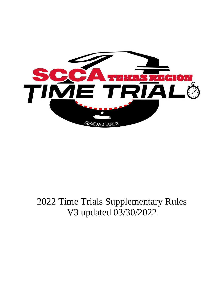

# 2022 Time Trials Supplementary Rules V3 updated 03/30/2022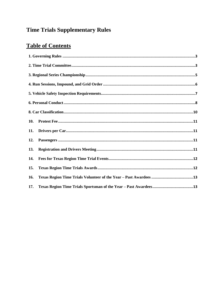# **Time Trials Supplementary Rules**

## **Table of Contents**

| 10. |  |
|-----|--|
| 11. |  |
| 12. |  |
| 13. |  |
| 14. |  |
| 15. |  |
| 16. |  |
| 17. |  |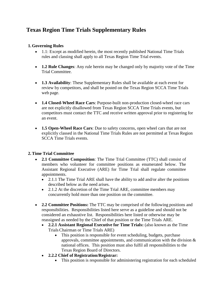### **Texas Region Time Trials Supplementary Rules**

#### <span id="page-2-0"></span>**1. Governing Rules**

- 1.1: Except as modified herein, the most recently published National Time Trials rules and classing shall apply to all Texas Region Time Trial events.
- **1.2 Rule Changes**: Any rule herein may be changed only by majority vote of the Time Trial Committee.
- **1.3 Availability**: These Supplementary Rules shall be available at each event for review by competitors, and shall be posted on the Texas Region SCCA Time Trials web page.
- **1.4 Closed-Wheel Race Cars**: Purpose-built non-production closed-wheel race cars are not explicitly disallowed from Texas Region SCCA Time Trials events, but competitors must contact the TTC and receive written approval prior to registering for an event.
- **1.5 Open-Wheel Race Cars**: Due to safety concerns, open wheel cars that are not explicitly classed in the National Time Trials Rules are not permitted at Texas Region SCCA Time Trials events.

#### <span id="page-2-1"></span>**2.Time Trial Committee**

- **2.1 Committee Composition**: The Time Trial Committee (TTC) shall consist of members who volunteer for committee positions as enumerated below. The Assistant Regional Executive (ARE) for Time Trial shall regulate committee appointments.
	- 2.1.1 The Time Trial ARE shall have the ability to add and/or alter the positions described below as the need arises.
	- 2.1.2 At the discretion of the Time Trial ARE, committee members may concurrently hold more than one position on the committee.
- **2.2 Committee Positions:** The TTC may be comprised of the following positions and responsibilities. Responsibilities listed here serve as a guideline and should not be considered an exhaustive list. Responsibilities here listed or otherwise may be reassigned as needed by the Chief of that position or the Time Trials ARE.
	- **2.2.1 Assistant Regional Executive for Time Trials:** (also known as the Time TrialsChairman or Time Trials ARE)
		- This position is responsible for event scheduling, budgets, purchase approvals, committee appointments, and communication with the division  $\&$ national offices. This position must also fulfil all responsibilities to the Texas Region Board of Directors.
	- **2.2.2 Chief of Registration/Registrar:**
		- This position is responsible for administering registration for each scheduled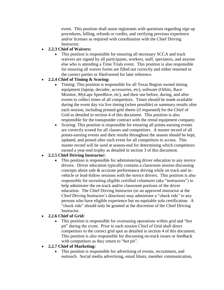event. This position shall assist registrants with questions regarding sign up procedures, billing, refunds or credits, and verifying previous experience and/or licenses as required with coordination with the Chief Driving Instructor.

#### **2.2.3 Chief of Waivers:**

• This position is responsible for ensuring all necessary SCCA and track waivers are signed by all participants, workers, staff, spectators, and anyone else who is attending a Time Trials event. This position is also responsible for ensuring all waiver forms are filled out correctly and either returned to the correct parties or filed/stored for later reference.

#### **2.2.4 Chief of Timing & Scoring:**

- Timing: This position is responsible for all Texas Region owned timing equipment (laptop, decoder, accessories, etc), software (Orbits, Race Monitor, MyLaps Speedhive, etc), and their use before, during, and after events to collect times of all competitors. Times should be made available during the event day via live timing (when possible) or summary results after each session, including printed grid sheets (if requested) for the Chief of Grid as detailed in section 4 of this document. This position is also responsible for the transponder contract with the rental equipment company.
- Scoring: This position is responsible for ensuring all points-earning events are correctly scored for all classes and competitors. A master record of all points-earning events and their results throughout the season should be kept, updated, and posted after each event for all competitors to access. This master record will be used at season-end for determining which competitors earned a year-end trophy as detailed in section 3 of this document.

#### **2.2.5 Chief Driving Instructor:**

 This position is responsible for administering driver education to any novice drivers. Driver education typically contains a classroom session discussing concepts about safe & accurate performance driving while on track and invehicle or lead-follow sessions with the novice drivers. This position is also responsible for recruiting eligible certified volunteers (aka "instructors") to help administer the on-track and/or classroom portions of the driver education. The Chief Driving Instructor (or an approved instructor at the Chief Driving Instructor's direction) may administer a "check ride" to any persons who have eligible experience but no equitable solo certification. A "check ride" should only be granted at the discretion of the Chief Driving Instructor.

#### **2.2.6 Chief of Grid:**

 This position is responsible for overseeing operations within grid and "hot pit" during the event. Prior to each session Chief of Grid shall direct competitors to the correct grid spot as detailed in section 4 of this document. This position is also responsible for discussing on-track issues or feedback with competitors as they return to "hot pit".

#### **2.2.7 Chief of Marketing:**

 This position is responsible for advertising of events, recruitment, and outreach. Social media advertising, email blasts, member communication,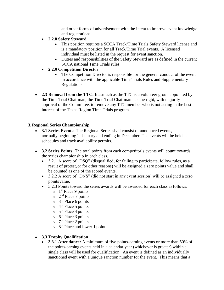and other forms of advertisement with the intent to improve event knowledge and registrations.

- **2.2.8 Safety Steward**
	- This position requires a SCCA Track/Time Trials Safety Steward license and is a mandatory position for all Track/Time Trial events. A licensed individual must be listed in the request for event sanction.
	- Duties and responsibilities of the Safety Steward are as defined in the current SCCA national Time Trials rules.
- **2.2.9 Competition Director**
	- The Competition Director is responsible for the general conduct of the event in accordance with the applicable Time Trials Rules and Supplementary Regulations.
- **2.3 Removal from the TTC:** Inasmuch as the TTC is a volunteer group appointed by the Time Trial Chairman, the Time Trial Chairman has the right, with majority approval of the Committee, to remove any TTC member who is not acting in the best interest of the Texas Region Time Trials program.

#### <span id="page-4-0"></span>**3. Regional Series Championship**

- **3.1 Series Events:** The Regional Series shall consist of announced events, normally beginning in January and ending in December. The events will be held as schedules and track availability permits.
- **3.2 Series Points:** The total points from each competitor's events will count towards the series championship in each class.
	- 3.2.1 A score of "DSQ" (disqualified; for failing to participate, follow rules, as a result of protest,or for other reasons) will be assigned a zero points value and shall be counted as one of the scored events.
	- 3.2.2 A score of "DNS" (did not start in any event session) will be assigned a zero pointsvalue.
	- 3.2.3 Points toward the series awards will be awarded for each class asfollows:
		- $\circ$  1<sup>st</sup> Place 9 points
		- $\circ$  2<sup>nd</sup> Place 7 points
		- $\circ$  3<sup>rd</sup> Place 6 points
		- $\circ$  4<sup>th</sup> Place 5 points
		- $\circ$  5<sup>th</sup> Place 4 points
		- $\circ$  6<sup>th</sup> Place 3 points
		- $\circ$  7<sup>th</sup> Place 2 points
		- $\circ$  8<sup>th</sup> Place and lower 1 point

#### **3.3 Trophy Qualification**

 **3.3.1 Attendance:** A minimum of five points-earning events or more than 50% of the points-earning events held in a calendar year (whichever is greater) within a single class will be used for qualification. An event is defined as an individually sanctioned event with a unique sanction number for the event. This means that a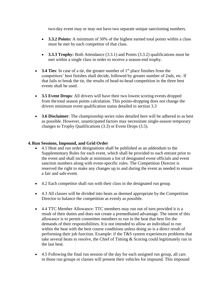two-day event may or may not have two separate unique sanctioning numbers.

- **3.3.2 Points:** A minimum of 50% of the highest earned total points within a class must be met by each competitor of that class.
- **3.3.3 Trophy:** Both Attendance (3.3.1) and Points (3.3.2) qualifications must be met within a single class in order to receive a season-end trophy.
- **3.4 Ties**: In case of a tie, the greater number of 1<sup>st</sup> place finishes from the competitors' best finishes shall decide, followed by greater number of 2nds, etc. If that fails to break the tie, the results of head-to-head competition in the three best events shall be used.
- **3.5 Event Drops**: All drivers will have their two lowest scoring events dropped from the total season points calculation. This points-dropping does not change the drivers minimum event qualification status detailed in section 3.3
- **3.6 Disclaimer**: The championship series rules detailed here will be adhered to as best as possible. However, unanticipated factors may necessitate single-season temporary changes to Trophy Qualifications (3.3) or Event Drops (3.5).

#### <span id="page-5-0"></span>**4. Run Sessions, Impound, and Grid Order**

- 4.1 Heat and run order designations shall be published as an addendum to the Supplementary Rules for each event, which shall be provided to each entrant prior to the event and shall include at minimum a list of designated event officials and event sanction numbers along with event-specific rules. The Competition Director is reserved the right to make any changes up to and during the event as needed to ensure a fair and safe event.
- 4.2 Each competitor shall run with their class in the designated run group.
- 4.3 All classes will be divided into heats as deemed appropriate by the Competition Director to balance the competition as evenly as possible.
- 4.4 TTC Member Allowance: TTC members may run out of turn provided it is a result of their duties and does not create a premeditated advantage. The intent of this allowance is to permit committee members to run in the heat that best fits the demands of their responsibilities. It is not intended to allow an individual to run within the heat with the best course conditions unless doing so is a direct result of performing their job function. Example: if the T&S system experiences problems that take several heats to resolve, the Chief of Timing & Scoring could legitimately run in the last heat.
- 4.5 Following the final run session of the day for each assigned run group, all cars in those run groups or classes will present their vehicles for impound. This impound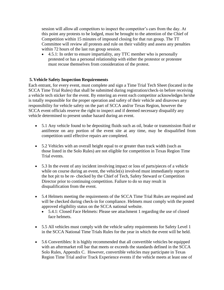session will allow all competitors to inspect the competitor's cars from the day. At this point any protests to be lodged, must be brought to the attention of the Chief of Competition within 15 minutes of impound closing for that run group. The TT Committee will review all protests and rule on their validity and assess any penalties within 72 hours of the last run group session.

• 4.5.1: In order to ensure impartiality, any TTC member who is personally protested or has a personal relationship with either the protestor or protestee must recuse themselves from consideration of the protest.

#### <span id="page-6-0"></span>**5. Vehicle Safety Inspection Requirements**

Each entrant, for every event, must complete and sign a Time Trial Tech Sheet (located in the SCCA Time Trial Rules) that shall be submitted during registration/check-in before receiving a vehicle tech sticker for the event. By entering an event each competitor acknowledges he/she is totally responsible for the proper operation and safety of their vehicle and disavows any responsibility for vehicle safety on the part of SCCA and/or Texas Region, however the SCCA event officials reserve the right to inspect and if deemed necessary disqualify any vehicle determined to present undue hazard during an event.

- 5.1 Any vehicle found to be depositing fluids such as oil, brake or transmission fluid or antifreeze on any portion of the event site at any time, may be disqualified from competition until effective repairs are completed.
- 5.2 Vehicles with an overall height equal to or greater than track width (such as those listed in the Solo Rules) are not eligible for competition in Texas Region Time Trial events.
- 5.3 In the event of any incident involving impact or loss of parts/pieces of a vehicle while on course during an event, the vehicle(s) involved must immediately report to the hot pit to be re- checked by the Chief of Tech, Safety Steward or Competition Director prior to continuing competition. Failure to do so may result in disqualification from the event.
- 5.4 Helmets meeting the requirements of the SCCA Time Trial Rules are required and will be checked during check-in for compliance. Helmets must comply with the posted approved eligibility status on the SCCA national website.
	- 5.4.1: Closed Face Helmets: Please see attachment 1 regarding the use of closed face helmets.
- 5.5 All vehicles must comply with the vehicle safety requirements for Safety Level 1 in the SCCA National Time Trials Rules for the year in which the event will be held.
- 5.6 Convertibles: It is highly recommended that all convertible vehicles be equipped with an aftermarket roll bar that meets or exceeds the standards defined in the SCCA Solo Rules, Appendix C. However, convertible vehicles may participate in Texas Region Time Trial and/or Track Experience events if the vehicle meets at least one of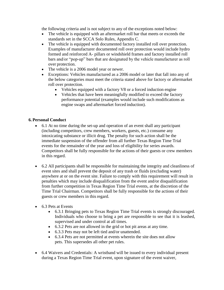the following criteria and is not subject to any of the exceptions noted below:

- The vehicle is equipped with an aftermarket roll bar that meets or exceeds the standards set in the SCCA Solo Rules, Appendix C.
- The vehicle is equipped with documented factory installed roll over protection. Examples of manufacturer documented roll over protection would include hydro formed and reinforced A- pillars or windshield frames and factory installed roll bars and/or "pop-up" bars that are designated by the vehicle manufacturer as roll over protection.
- The vehicle is a 2006 model year or newer.
- Exceptions: Vehicles manufactured as a 2006 model or later that fall into any of the below categories must meet the criteria stated above for factory or aftermarket roll over protection.
	- Vehicles equipped with a factory V8 or a forced induction engine
	- Vehicles that have been meaningfully modified to exceed the factory performance potential (examples would include such modifications as engine swaps and aftermarket forced induction).

#### <span id="page-7-0"></span>**6. Personal Conduct**

- 6.1 At no time during the set-up and operation of an event shall any participant (including competitors, crew members, workers, guests, etc.) consume any intoxicating substance or illicit drug. The penalty for such action shall be the immediate suspension of the offender from all further Texas Region Time Trial events for the remainder of the year and loss of eligibility for series awards. Competitors shall be fully responsible for the actions of their guests or crew members in this regard.
- 6.2 All participants shall be responsible for maintaining the integrity and cleanliness of event sites and shall prevent the deposit of any trash or fluids (excluding water) anywhere at or on the event site. Failure to comply with this requirement will result in penalties which may include disqualification from the event and/or disqualification from further competition in Texas Region Time Trial events, at the discretion of the Time Trial Chairman. Competitors shall be fully responsible for the actions of their guests or crew members in thisregard.
- 6.3 Pets at Events
	- 6.3.1 Bringing pets to Texas Region Time Trial events is strongly discouraged. Individuals who choose to bring a pet are responsible to see that it is leashed, supervised and under control at all times.
	- 6.3.2 Pets are not allowed in the grid or hot pit areas at any time.
	- 6.3.3 Pets may not be left tied and/or unattended.
	- 6.3.4 Pets are not permitted at events wherein the site does not allow pets. This supersedes all other pet rules.
- 6.4 Waivers and Credentials: A wristband will be issued to every individual present during a Texas Region Time Trial event, upon signature of the event waiver,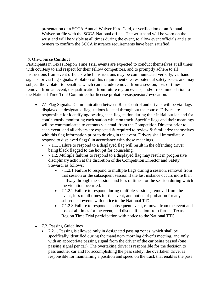presentation of a SCCA Annual Waiver Hard Card, or verification of an Annual Waiver on file with the SCCA National office. The wristband will be worn on the wrist and will be visible at all times during the event, to allow event officials and site owners to confirm the SCCA insurance requirements have been satisfied.

#### **7. On-Course Conduct**

Participants in Texas Region Time Trial events are expected to conduct themselves at all times with courtesy to and respect for their fellow competitors, and to promptly adhere to all instructions from event officials which instructions may be communicated verbally, via hand signals, or via flag signals. Violation of this requirement creates potential safety issues and may subject the violator to penalties which can include removal from a session, loss of times, removal from an event, disqualification from future region events, and/or recommendation to the National Time Trial Committee for license probation/suspension/revocation.

- 7.1 Flag Signals: Communication between Race Control and drivers will be via flags displayed at designated flag stations located throughout the course. Drivers are responsible for identifying/locating each flag station during their initial out lap and for continuously monitoring each station while on track. Specific flags and their meanings will be communicated to entrants via email from the Competition Director prior to each event, and all drivers are expected & required to review & familiarize themselves with this flag information prior to driving in the event. Drivers shall immediately respond to displayed flag(s) in accordance with those meanings.
	- 7.1.1. Failure to respond to a displayed flag will result in the offending driver being black flagged to the hot pit for counseling.
	- 7.1.2. Multiple failures to respond to a displayed flag may result in progressive disciplinary action at the discretion of the Competition Director and Safety Steward, as follows:
		- 7.1.2.1 Failure to respond to multiple flags during a session, removal from that session or the subsequent session if the last instance occurs more than halfway through the session, and loss of times for the session during which the violation occurred.
		- 7.1.2.2 Failure to respond during multiple sessions, removal from the event, loss of all times for the event, and notice of probation for any subsequent events with notice to the National TTC.
		- 7.1.2.3 Failure to respond at subsequent event, removal from the event and loss of all times for the event, and disqualification from further Texas Region Time Trial participation with notice to the National TTC.
- 7.2. Passing Guidelines
	- 7.2.1. Passing is allowed only in designated passing zones, which shall be specifically identified during the mandatory morning driver's meeting, and only with an appropriate passing signal from the driver of the car being passed (one passing signal per car). The overtaking driver is responsible for the decision to pass another car and for accomplishing the pass safely, the overtaken driver is responsible for maintaining a position and speed on the track that enables the pass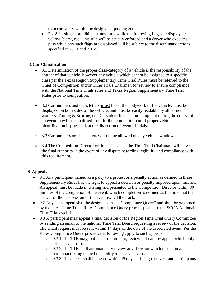to occur safely within the designated passing zone.

• 7.2.2 Passing is prohibited at any time while the following flags are displayed: yellow, black, red. This rule will be strictly enforced and a driver who executes a pass while any such flags are displayed will be subject to the disciplinary actions specified in 7.1.1 and 7.1.2.

#### <span id="page-9-0"></span>**8. Car Classification**

- 8.1 Determination of the proper class/category of a vehicle is the responsibility of the entrant of that vehicle, however any vehicle which cannot be assigned to a specific class per the Texas Region Supplementary Time Trial Rules must be referred to the Chief of Competition and/or Time Trials Chairman for review to ensure compliance with the National Time Trials rules and Texas Region Supplementary Time Trial Rules prior to competition.
- 8.2 Car numbers and class letters **must** be on the bodywork of the vehicle, must be displayed on both sides of the vehicle, and must be easily readable by all corner workers, Timing & Scoring, etc. Cars identified as non-compliant during the course of an event may be disqualified from further competition until proper vehicle identification is provided, at the discretion of event officials.
- 8.3 Car numbers or class letters will not be allowed on any vehicle windows.
- 8.4 The Competition Director or, in his absence, the Time Trial Chairman, will have the final authority in the event of any dispute regarding legibility and compliance with this requirement.

#### **9. Appeals**

- 9.1 Any participant named as a party to a protest or a penalty action as defined in these Supplementary Rules has the right to appeal a decision or penalty imposed upon him/her. An appeal must be made in writing and presented to the Competition Director within 30 minutes of the completion of the event, which completion is defined as the time that the last car of the last session of the event exited the track.
- 9.2 Any such appeal shall be designated as a "Compliance Query" and shall be governed by the latest Time Trials Rules Compliance Query process posted to the SCCA National Time Trials website.
- 9.3 A participant may appeal a final decision of the Region Time Trial Query Committee by sending an email to the national Time Trial Board requesting a review of the decision. The email request must be sent within 14 days of the date of the associated event. Per the Rules Compliance Query process, the following apply to such appeals.
	- o 9.3.1 The TTB may, but is not required to, review or hear any appeal which only affects event results.
	- o 9.3.2 The TTB shall automatically review any decision which results in a participant being denied the ability to enter an event.
	- o 9.3.3 The appeal shall be heard within 45 days of being received, and participants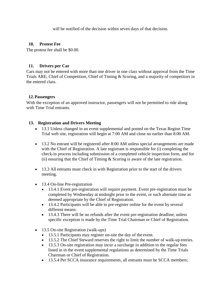will be notified of the decision within seven days of that decision.

#### <span id="page-10-0"></span>**10. Protest Fee**

The protest fee shall be \$0.00.

#### <span id="page-10-1"></span>**11. Drivers per Car**

Cars may not be entered with more than one driver in one class without approval from the Time Trials ARE, Chief of Competition, Chief of Timing & Scoring, and a majority of competitors in the entered class.

#### <span id="page-10-2"></span>**12.Passengers**

With the exception of an approved instructor, passengers will not be permitted to ride along with Time Trial entrants.

#### <span id="page-10-3"></span>**13. Registration and Drivers Meeting**

- 13.1 Unless changed in an event supplemental and posted on the Texas Region Time Trial web site, registration will begin at 7:00 AM and close no earlier than 8:00 AM.
- 13.2 No entrant will be registered after 8:00 AM unless special arrangements are made with the Chief of Registration. A late registrant is responsible for (i) completing the check-in process including submission of a completed vehicle inspection form, and for (ii) ensuring that the Chief of Timing  $&$  Scoring is aware of the late registration.
- 13.3 All entrants must check in with Registration prior to the start of the drivers meeting.
- 13.4 On-line Pre-registration
	- 13.4.1 Event pre-registration will require payment. Event pre-registration must be completed by Wednesday at midnight prior to the event, or such alternate time as deemed appropriate by the Chief of Registration.
	- 13.4.2 Participants will be able to pre-register online for the event by several different means:
	- 13.4.3 There will be no refunds after the event pre-registration deadline, unless specific exception is made by the Time Trial Chairman or Chief of Registration.
- 13.5 On-site Registration (walk-ups)
	- 13.5.1 Participants may register on-site the day of the event.
	- 13.5.2 The Chief Steward reserves the right to limit the number of walk-up entries.
	- 13.5.3 On-site registration may incur a surcharge in addition to the regular fees listed in in the event supplemental regulations as determined by the Time Trials Chairman or Chief of Registration.
	- 13.5.4 Per SCCA insurance requirements, all entrants must be SCCA members;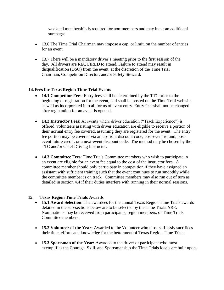weekend membership is required for non-members and may incur an additional surcharge.

- 13.6 The Time Trial Chairman may impose a cap, or limit, on the number of entries for an event.
- 13.7 There will be a mandatory driver's meeting prior to the first session of the day. All drivers are REQUIRED to attend. Failure to attend may result in disqualification (DSQ) from the event, at the discretion of the Time Trial Chairman, Competition Director, and/or Safety Steward.

#### <span id="page-11-0"></span>**14.Fees for Texas Region Time Trial Events**

- **14.1 Competitor Fees**: Entry fees shall be determined by the TTC prior to the beginning of registration for the event, and shall be posted on the Time Trial web site as well as incorporated into all forms of event entry. Entry fees shall not be changed after registration for an event is opened.
- **14.2 Instructor Fees**: At events where driver education ("Track Experience") is offered, volunteers assisting with driver education are eligible to receive a portion of their normal entry fee covered, assuming they are registered for the event. The entry fee portion may be covered via an up-front discount code, post-event refund, postevent future credit, or a next-event discount code. The method may be chosen by the TTC and/or Chief Driving Instructor.
- **14.3 Committee Fees**: Time Trials Committee members who wish to participate in an event are eligible for an event fee equal to the cost of the instructor fees. A committee member should only participate in competition if they have assigned an assistant with sufficient training such that the event continues to run smoothly while the committee member is on track. Committee members may also run out of turn as detailed in section 4.4 if their duties interfere with running in their normal sessions.

#### <span id="page-11-1"></span>**15. Texas Region Time Trials Awards**

- **15.1 Award Selection**: The awardees for the annual Texas Region Time Trials awards detailed in the sub-sections below are to be selected by the Time Trials ARE. Nominations may be received from participants, region members, or Time Trials Committee members.
- **15.2 Volunteer of the Year:** Awarded to the Volunteer who most selflessly sacrifices their time, efforts and knowledge for the betterment of Texas Region Time Trials.
- **15.3 Sportsman of the Year:** Awarded to the driver or participant who most exemplifies the Courage, Skill, and Sportsmanship the Time Trials ideals are built upon.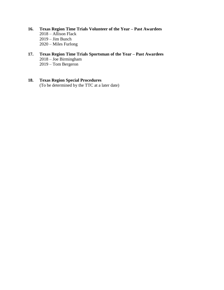- <span id="page-12-0"></span>**16. Texas Region Time Trials Volunteer of the Year – Past Awardees** 2018 – Allison Flack 2019 – Jim Bunch 2020 – Miles Furlong
- <span id="page-12-1"></span>**17. Texas Region Time Trials Sportsman of the Year – Past Awardees** 2018 – Joe Birmingham 2019 – Tom Bergeron

#### **18. Texas Region Special Procedures** (To be determined by the TTC at a later date)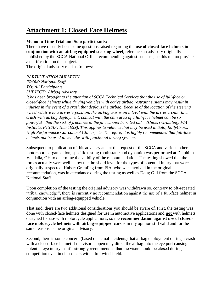### **Attachment 1: Closed Face Helmets**

#### **Memo to Time Trial and Solo participants:**

There have recently been some questions raised regarding the **use of closed-face helmets in conjunction with an airbag equipped steering wheel**, reference an advisory originally published by the SCCA National Office recommending against such use, so this memo provides a clarification on the subject. The original advisory read as follows:

#### *PARTICIPATION BULLETIN*

*FROM: National Staff TO: All Participants SUBJECT: Airbag Advisory*

*It has been brought to the attention of SCCA Technical Services that the use of full-face or closed-face helmets while driving vehicles with active airbag restraint systems may result in injuries in the event of a crash that deploys the airbag. Because of the location of the steering wheel relative to a driver's position, the airbag axis is on a level with the driver's chin. In a crash with airbag deployment, contact with the chin area of a full-face helmet can be so powerful "that the risk of fractures to the jaw cannot be ruled out." (Hubert Gramling, FIA Institute, FT3/AF, 18.5.1999). This applies to vehicles that may be used in Solo, RallyCross, High Performance Car control Clinics, etc. Therefore, it is highly recommended that full-face helmets not be used in vehicles with functional airbag systems.*

Subsequent to publication of this advisory and at the request of the SCCA and various other motorsports organization, specific testing (both static and dynamic) was performed at Delphi in Vandalia, OH to determine the validity of the recommendation. The testing showed that the forces actually were well below the threshold level for the types of potential injury that were originally suspected. Hubert Gramling from FIA, who was involved in the original recommendation, was in attendance during the testing as well as Doug Gill from the SCCA National Staff.

Upon completion of the testing the original advisory was withdrawn so, contrary to oft-repeated "tribal knowledge", there is currently no recommendation against the use of a full-face helmet in conjunction with an airbag-equipped vehicle.

That said, there are two additional considerations you should be aware of. First, the testing was done with closed-face helmets designed for use in automotive applications and **not** with helmets designed for use with motorcycle applications, so the **recommendation against use of closedface motorcycle helmets with airbag-equipped cars** is in my opinion still valid and for the same reasons as the original advisory.

Second, there is some concern (based on actual incidents) that airbag deployment during a crash with a closed-face helmet if the visor is open may direct the airbag into the eye port causing potential eye injury, so it's strongly recommended that the visor should be closed during competition even in closed cars with a full windshield.